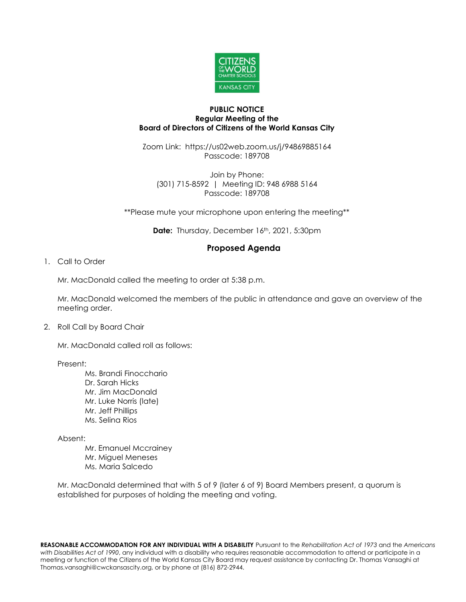

## **PUBLIC NOTICE Regular Meeting of the Board of Directors of Citizens of the World Kansas City**

Zoom Link: https://us02web.zoom.us/j/94869885164 Passcode: 189708

Join by Phone: (301) 715-8592 | Meeting ID: 948 6988 5164 Passcode: 189708

\*\*Please mute your microphone upon entering the meeting\*\*

**Date:** Thursday, December 16<sup>th</sup>, 2021, 5:30pm

## **Proposed Agenda**

## 1. Call to Order

Mr. MacDonald called the meeting to order at 5:38 p.m.

Mr. MacDonald welcomed the members of the public in attendance and gave an overview of the meeting order.

## 2. Roll Call by Board Chair

Mr. MacDonald called roll as follows:

Present:

Ms. Brandi Finocchario Dr. Sarah Hicks Mr. Jim MacDonald Mr. Luke Norris (late) Mr. Jeff Phillips Ms. Selina Rios

Absent:

Mr. Emanuel Mccrainey Mr. Miguel Meneses Ms. Maria Salcedo

Mr. MacDonald determined that with 5 of 9 (later 6 of 9) Board Members present, a quorum is established for purposes of holding the meeting and voting.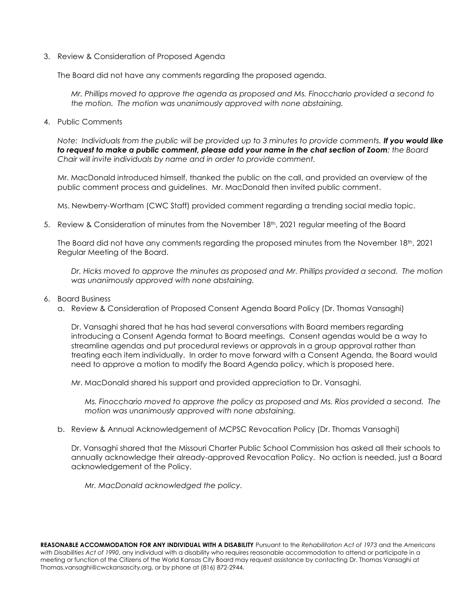3. Review & Consideration of Proposed Agenda

The Board did not have any comments regarding the proposed agenda.

*Mr. Phillips moved to approve the agenda as proposed and Ms. Finocchario provided a second to the motion. The motion was unanimously approved with none abstaining.* 

4. Public Comments

*Note: Individuals from the public will be provided up to 3 minutes to provide comments. If you would like to request to make a public comment, please add your name in the chat section of Zoom; the Board Chair will invite individuals by name and in order to provide comment.*

Mr. MacDonald introduced himself, thanked the public on the call, and provided an overview of the public comment process and guidelines. Mr. MacDonald then invited public comment.

Ms. Newberry-Wortham (CWC Staff) provided comment regarding a trending social media topic.

5. Review & Consideration of minutes from the November 18<sup>th</sup>, 2021 regular meeting of the Board

The Board did not have any comments regarding the proposed minutes from the November  $18<sup>th</sup>$ , 2021 Regular Meeting of the Board.

*Dr. Hicks moved to approve the minutes as proposed and Mr. Phillips provided a second. The motion was unanimously approved with none abstaining.*

- 6. Board Business
	- a. Review & Consideration of Proposed Consent Agenda Board Policy (Dr. Thomas Vansaghi)

Dr. Vansaghi shared that he has had several conversations with Board members regarding introducing a Consent Agenda format to Board meetings. Consent agendas would be a way to streamline agendas and put procedural reviews or approvals in a group approval rather than treating each item individually. In order to move forward with a Consent Agenda, the Board would need to approve a motion to modify the Board Agenda policy, which is proposed here.

Mr. MacDonald shared his support and provided appreciation to Dr. Vansaghi.

*Ms. Finocchario moved to approve the policy as proposed and Ms. Rios provided a second. The motion was unanimously approved with none abstaining.*

b. Review & Annual Acknowledgement of MCPSC Revocation Policy (Dr. Thomas Vansaghi)

Dr. Vansaghi shared that the Missouri Charter Public School Commission has asked all their schools to annually acknowledge their already-approved Revocation Policy. No action is needed, just a Board acknowledgement of the Policy.

*Mr. MacDonald acknowledged the policy.*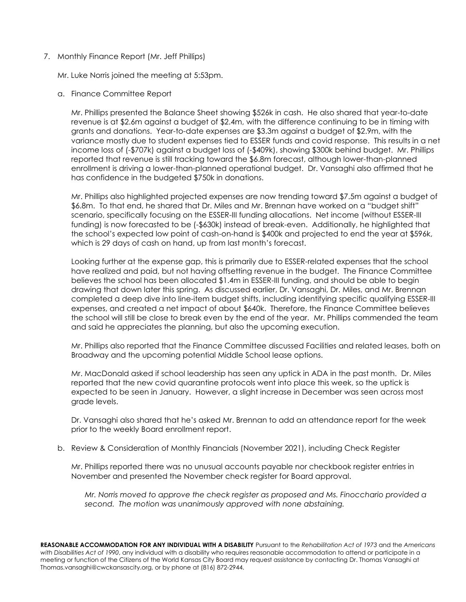7. Monthly Finance Report (Mr. Jeff Phillips)

Mr. Luke Norris joined the meeting at 5:53pm.

a. Finance Committee Report

Mr. Phillips presented the Balance Sheet showing \$526k in cash. He also shared that year-to-date revenue is at \$2.6m against a budget of \$2.4m, with the difference continuing to be in timing with grants and donations. Year-to-date expenses are \$3.3m against a budget of \$2.9m, with the variance mostly due to student expenses tied to ESSER funds and covid response. This results in a net income loss of (-\$707k) against a budget loss of (-\$409k), showing \$300k behind budget. Mr. Phillips reported that revenue is still tracking toward the \$6.8m forecast, although lower-than-planned enrollment is driving a lower-than-planned operational budget. Dr. Vansaghi also affirmed that he has confidence in the budgeted \$750k in donations.

Mr. Phillips also highlighted projected expenses are now trending toward \$7.5m against a budget of \$6.8m. To that end, he shared that Dr. Miles and Mr. Brennan have worked on a "budget shift" scenario, specifically focusing on the ESSER-III funding allocations. Net income (without ESSER-III funding) is now forecasted to be (-\$630k) instead of break-even. Additionally, he highlighted that the school's expected low point of cash-on-hand is \$400k and projected to end the year at \$596k, which is 29 days of cash on hand, up from last month's forecast.

Looking further at the expense gap, this is primarily due to ESSER-related expenses that the school have realized and paid, but not having offsetting revenue in the budget. The Finance Committee believes the school has been allocated \$1.4m in ESSER-III funding, and should be able to begin drawing that down later this spring. As discussed earlier, Dr. Vansaghi, Dr. Miles, and Mr. Brennan completed a deep dive into line-item budget shifts, including identifying specific qualifying ESSER-III expenses, and created a net impact of about \$640k. Therefore, the Finance Committee believes the school will still be close to break even by the end of the year. Mr. Phillips commended the team and said he appreciates the planning, but also the upcoming execution.

Mr. Phillips also reported that the Finance Committee discussed Facilities and related leases, both on Broadway and the upcoming potential Middle School lease options.

Mr. MacDonald asked if school leadership has seen any uptick in ADA in the past month. Dr. Miles reported that the new covid quarantine protocols went into place this week, so the uptick is expected to be seen in January. However, a slight increase in December was seen across most grade levels.

Dr. Vansaghi also shared that he's asked Mr. Brennan to add an attendance report for the week prior to the weekly Board enrollment report.

b. Review & Consideration of Monthly Financials (November 2021), including Check Register

Mr. Phillips reported there was no unusual accounts payable nor checkbook register entries in November and presented the November check register for Board approval.

*Mr. Norris moved to approve the check register as proposed and Ms. Finocchario provided a second. The motion was unanimously approved with none abstaining.*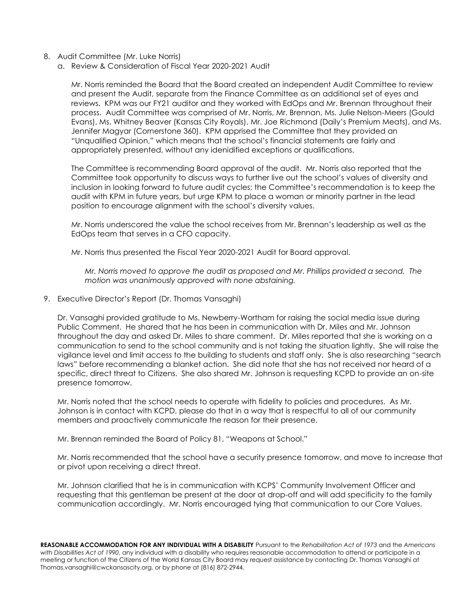- 8. Audit Committee (Mr. Luke Norris)
	- a. Review & Consideration of Fiscal Year 2020-2021 Audit

Mr. Norris reminded the Board that the Board created an independent Audit Committee to review and present the Audit, separate from the Finance Committee as an additional set of eyes and reviews. KPM was our FY21 auditor and they worked with EdOps and Mr. Brennan throughout their process. Audit Committee was comprised of Mr. Norris, Mr. Brennan, Ms. Julie Nelson-Meers (Gould Evans), Ms. Whitney Beaver (Kansas City Royals), Mr. Joe Richmond (Daily's Premium Meats), and Ms. Jennifer Magyar (Cornerstone 360). KPM apprised the Committee that they provided an "Unqualified Opinion," which means that the school's financial statements are fairly and appropriately presented, without any idenidified exceptions or qualifications.

The Committee is recommending Board approval of the audit. Mr. Norris also reported that the Committee took opportunity to discuss ways to further live out the school's values of diversity and inclusion in looking forward to future audit cycles; the Committee's recommendation is to keep the audit with KPM in future years, but urge KPM to place a woman or minority partner in the lead position to encourage alignment with the school's diversity values.

Mr. Norris underscored the value the school receives from Mr. Brennan's leadership as well as the EdOps team that serves in a CFO capacity.

Mr. Norris thus presented the Fiscal Year 2020-2021 Audit for Board approval.

*Mr. Norris moved to approve the audit as proposed and Mr. Phillips provided a second. The motion was unanimously approved with none abstaining.*

9. Executive Director's Report (Dr. Thomas Vansaghi)

Dr. Vansaghi provided gratitude to Ms. Newberry-Wortham for raising the social media issue during Public Comment. He shared that he has been in communication with Dr. Miles and Mr. Johnson throughout the day and asked Dr. Miles to share comment. Dr. Miles reported that she is working on a communication to send to the school community and is not taking the situation lightly. She will raise the vigilance level and limit access to the building to students and staff only. She is also researching "search laws" before recommending a blanket action. She did note that she has not received nor heard of a specific, direct threat to Citizens. She also shared Mr. Johnson is requesting KCPD to provide an on-site presence tomorrow.

Mr. Norris noted that the school needs to operate with fidelity to policies and procedures. As Mr. Johnson is in contact with KCPD, please do that in a way that is respectful to all of our community members and proactively communicate the reason for their presence.

Mr. Brennan reminded the Board of Policy 81, "Weapons at School."

Mr. Norris recommended that the school have a security presence tomorrow, and move to increase that or pivot upon receiving a direct threat.

Mr. Johnson clarified that he is in communication with KCPS' Community Involvement Officer and requesting that this gentleman be present at the door at drop-off and will add specificity to the family communication accordingly. Mr. Norris encouraged tying that communication to our Core Values.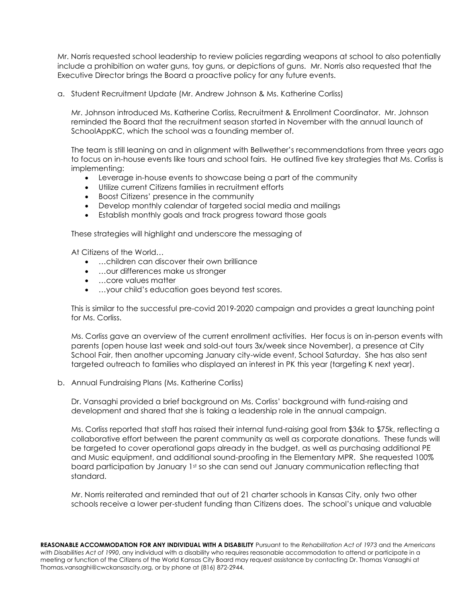Mr. Norris requested school leadership to review policies regarding weapons at school to also potentially include a prohibition on water guns, toy guns, or depictions of guns. Mr. Norris also requested that the Executive Director brings the Board a proactive policy for any future events.

a. Student Recruitment Update (Mr. Andrew Johnson & Ms. Katherine Corliss)

Mr. Johnson introduced Ms. Katherine Corliss, Recruitment & Enrollment Coordinator. Mr. Johnson reminded the Board that the recruitment season started in November with the annual launch of SchoolAppKC, which the school was a founding member of.

The team is still leaning on and in alignment with Bellwether's recommendations from three years ago to focus on in-house events like tours and school fairs. He outlined five key strategies that Ms. Corliss is implementing:

- Leverage in-house events to showcase being a part of the community
- Utilize current Citizens families in recruitment efforts
- Boost Citizens' presence in the community
- Develop monthly calendar of targeted social media and mailings
- Establish monthly goals and track progress toward those goals

These strategies will highlight and underscore the messaging of

At Citizens of the World…

- …children can discover their own brilliance
- …our differences make us stronger
- …core values matter
- …your child's education goes beyond test scores.

This is similar to the successful pre-covid 2019-2020 campaign and provides a great launching point for Ms. Corliss.

Ms. Corliss gave an overview of the current enrollment activities. Her focus is on in-person events with parents (open house last week and sold-out tours 3x/week since November), a presence at City School Fair, then another upcoming January city-wide event, School Saturday. She has also sent targeted outreach to families who displayed an interest in PK this year (targeting K next year).

b. Annual Fundraising Plans (Ms. Katherine Corliss)

Dr. Vansaghi provided a brief background on Ms. Corliss' background with fund-raising and development and shared that she is taking a leadership role in the annual campaign.

Ms. Corliss reported that staff has raised their internal fund-raising goal from \$36k to \$75k, reflecting a collaborative effort between the parent community as well as corporate donations. These funds will be targeted to cover operational gaps already in the budget, as well as purchasing additional PE and Music equipment, and additional sound-proofing in the Elementary MPR. She requested 100% board participation by January 1st so she can send out January communication reflecting that standard.

Mr. Norris reiterated and reminded that out of 21 charter schools in Kansas City, only two other schools receive a lower per-student funding than Citizens does. The school's unique and valuable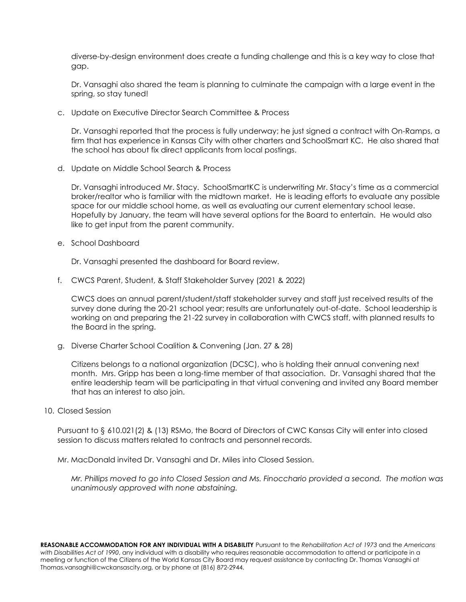diverse-by-design environment does create a funding challenge and this is a key way to close that gap.

Dr. Vansaghi also shared the team is planning to culminate the campaign with a large event in the spring, so stay tuned!

c. Update on Executive Director Search Committee & Process

Dr. Vansaghi reported that the process is fully underway; he just signed a contract with On-Ramps, a firm that has experience in Kansas City with other charters and SchoolSmart KC. He also shared that the school has about fix direct applicants from local postings.

d. Update on Middle School Search & Process

Dr. Vansaghi introduced Mr. Stacy. SchoolSmartKC is underwriting Mr. Stacy's time as a commercial broker/realtor who is familiar with the midtown market. He is leading efforts to evaluate any possible space for our middle school home, as well as evaluating our current elementary school lease. Hopefully by January, the team will have several options for the Board to entertain. He would also like to get input from the parent community.

e. School Dashboard

Dr. Vansaghi presented the dashboard for Board review.

f. CWCS Parent, Student, & Staff Stakeholder Survey (2021 & 2022)

CWCS does an annual parent/student/staff stakeholder survey and staff just received results of the survey done during the 20-21 school year; results are unfortunately out-of-date. School leadership is working on and preparing the 21-22 survey in collaboration with CWCS staff, with planned results to the Board in the spring.

g. Diverse Charter School Coalition & Convening (Jan. 27 & 28)

Citizens belongs to a national organization (DCSC), who is holding their annual convening next month. Mrs. Gripp has been a long-time member of that association. Dr. Vansaghi shared that the entire leadership team will be participating in that virtual convening and invited any Board member that has an interest to also join.

10. Closed Session

Pursuant to § 610.021(2) & (13) RSMo, the Board of Directors of CWC Kansas City will enter into closed session to discuss matters related to contracts and personnel records.

Mr. MacDonald invited Dr. Vansaghi and Dr. Miles into Closed Session.

*Mr. Phillips moved to go into Closed Session and Ms. Finocchario provided a second. The motion was unanimously approved with none abstaining.*